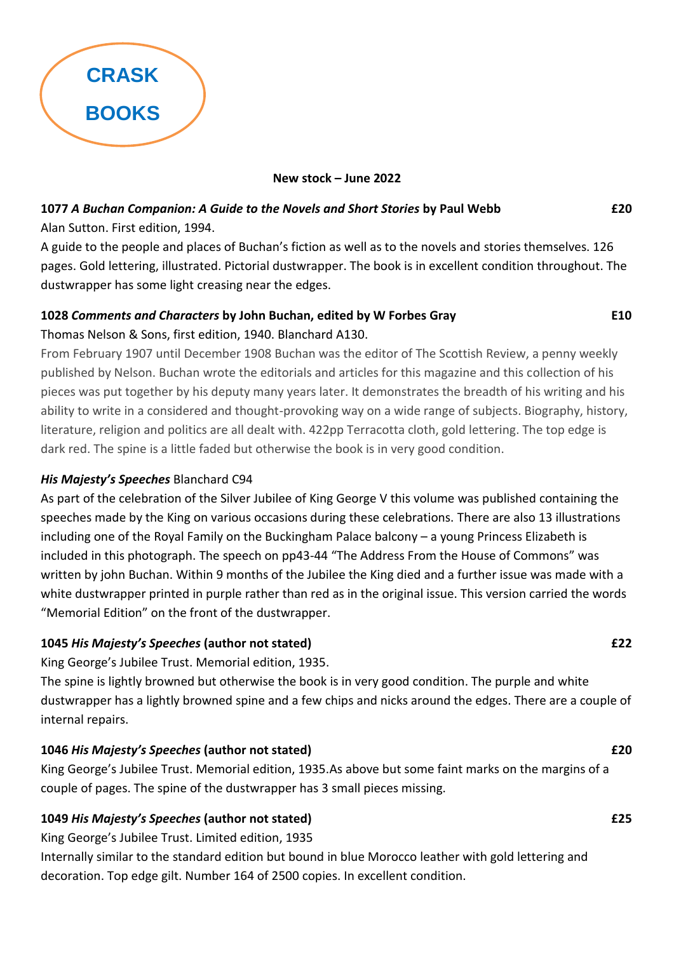

**New stock – June 2022**

# **1077** *A Buchan Companion: A Guide to the Novels and Short Stories* **by Paul Webb £20**

Alan Sutton. First edition, 1994.

A guide to the people and places of Buchan's fiction as well as to the novels and stories themselves. 126 pages. Gold lettering, illustrated. Pictorial dustwrapper. The book is in excellent condition throughout. The dustwrapper has some light creasing near the edges.

# **1028** *Comments and Characters* **by John Buchan, edited by W Forbes Gray E10** Thomas Nelson & Sons, first edition, 1940. Blanchard A130.

From February 1907 until December 1908 Buchan was the editor of The Scottish Review, a penny weekly published by Nelson. Buchan wrote the editorials and articles for this magazine and this collection of his pieces was put together by his deputy many years later. It demonstrates the breadth of his writing and his ability to write in a considered and thought-provoking way on a wide range of subjects. Biography, history, literature, religion and politics are all dealt with. 422pp Terracotta cloth, gold lettering. The top edge is dark red. The spine is a little faded but otherwise the book is in very good condition.

# *His Majesty's Speeches* Blanchard C94

As part of the celebration of the Silver Jubilee of King George V this volume was published containing the speeches made by the King on various occasions during these celebrations. There are also 13 illustrations including one of the Royal Family on the Buckingham Palace balcony – a young Princess Elizabeth is included in this photograph. The speech on pp43-44 "The Address From the House of Commons" was written by john Buchan. Within 9 months of the Jubilee the King died and a further issue was made with a white dustwrapper printed in purple rather than red as in the original issue. This version carried the words "Memorial Edition" on the front of the dustwrapper.

# **1045** *His Majesty's Speeches* **(author not stated) £22**

King George's Jubilee Trust. Memorial edition, 1935.

The spine is lightly browned but otherwise the book is in very good condition. The purple and white dustwrapper has a lightly browned spine and a few chips and nicks around the edges. There are a couple of internal repairs.

# **1046** *His Majesty's Speeches* **(author not stated) £20**

King George's Jubilee Trust. Memorial edition, 1935.As above but some faint marks on the margins of a couple of pages. The spine of the dustwrapper has 3 small pieces missing.

# **1049** *His Majesty's Speeches* **(author not stated) £25**

King George's Jubilee Trust. Limited edition, 1935

Internally similar to the standard edition but bound in blue Morocco leather with gold lettering and decoration. Top edge gilt. Number 164 of 2500 copies. In excellent condition.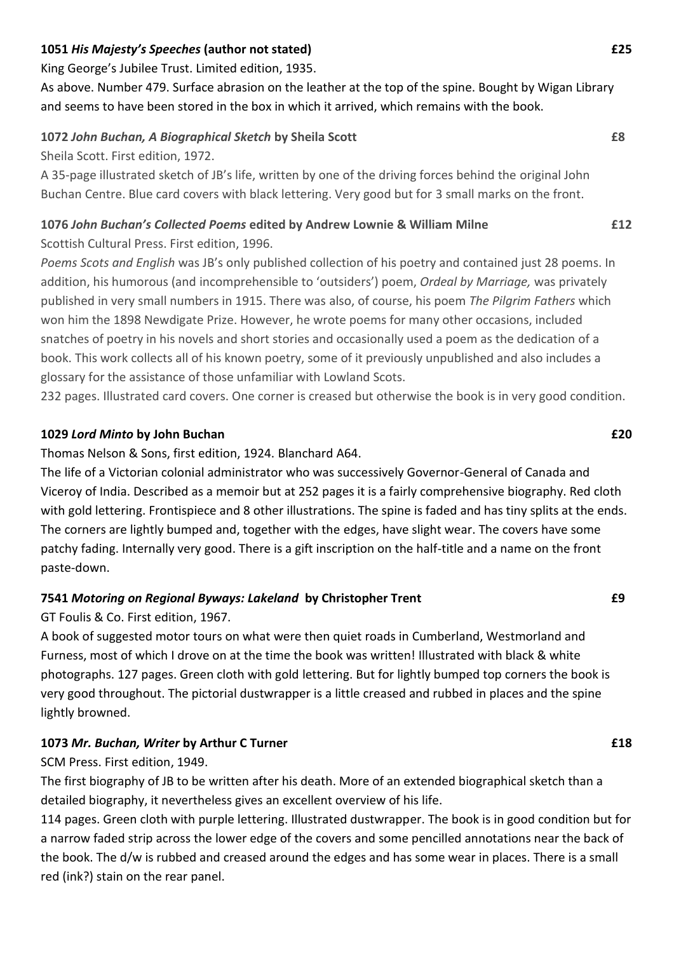## **1051** *His Majesty's Speeches* **(author not stated) £25**

King George's Jubilee Trust. Limited edition, 1935.

As above. Number 479. Surface abrasion on the leather at the top of the spine. Bought by Wigan Library and seems to have been stored in the box in which it arrived, which remains with the book.

# **1072** *John Buchan, A Biographical Sketch* **by Sheila Scott £8**

Sheila Scott. First edition, 1972.

A 35-page illustrated sketch of JB's life, written by one of the driving forces behind the original John Buchan Centre. Blue card covers with black lettering. Very good but for 3 small marks on the front.

# **1076** *John Buchan's Collected Poems* **edited by Andrew Lownie & William Milne £12**

Scottish Cultural Press. First edition, 1996.

*Poems Scots and English* was JB's only published collection of his poetry and contained just 28 poems. In addition, his humorous (and incomprehensible to 'outsiders') poem, *Ordeal by Marriage,* was privately published in very small numbers in 1915. There was also, of course, his poem *The Pilgrim Fathers* which won him the 1898 Newdigate Prize. However, he wrote poems for many other occasions, included snatches of poetry in his novels and short stories and occasionally used a poem as the dedication of a book. This work collects all of his known poetry, some of it previously unpublished and also includes a glossary for the assistance of those unfamiliar with Lowland Scots.

232 pages. Illustrated card covers. One corner is creased but otherwise the book is in very good condition.

## **1029** *Lord Minto* **by John Buchan £20**

## Thomas Nelson & Sons, first edition, 1924. Blanchard A64.

The life of a Victorian colonial administrator who was successively Governor-General of Canada and Viceroy of India. Described as a memoir but at 252 pages it is a fairly comprehensive biography. Red cloth with gold lettering. Frontispiece and 8 other illustrations. The spine is faded and has tiny splits at the ends. The corners are lightly bumped and, together with the edges, have slight wear. The covers have some patchy fading. Internally very good. There is a gift inscription on the half-title and a name on the front paste-down.

# **7541** *Motoring on Regional Byways: Lakeland* **by Christopher Trent £9**

GT Foulis & Co. First edition, 1967.

A book of suggested motor tours on what were then quiet roads in Cumberland, Westmorland and Furness, most of which I drove on at the time the book was written! Illustrated with black & white photographs. 127 pages. Green cloth with gold lettering. But for lightly bumped top corners the book is very good throughout. The pictorial dustwrapper is a little creased and rubbed in places and the spine lightly browned.

# **1073** *Mr. Buchan, Writer* **by Arthur C Turner £18**

SCM Press. First edition, 1949.

The first biography of JB to be written after his death. More of an extended biographical sketch than a detailed biography, it nevertheless gives an excellent overview of his life.

114 pages. Green cloth with purple lettering. Illustrated dustwrapper. The book is in good condition but for a narrow faded strip across the lower edge of the covers and some pencilled annotations near the back of the book. The d/w is rubbed and creased around the edges and has some wear in places. There is a small red (ink?) stain on the rear panel.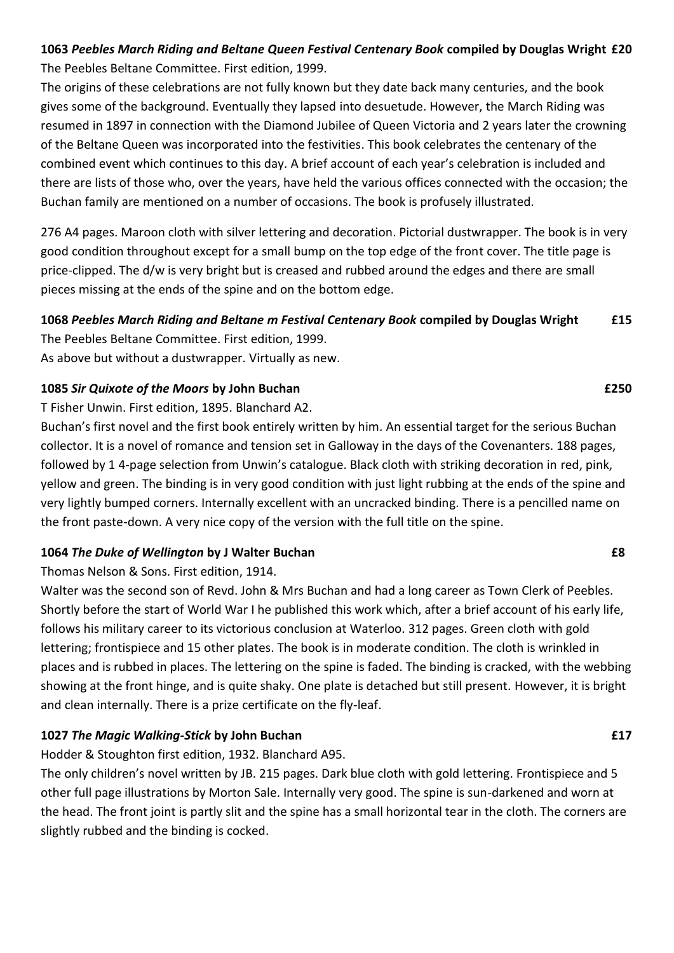# **1063** *Peebles March Riding and Beltane Queen Festival Centenary Book* **compiled by Douglas Wright £20** The Peebles Beltane Committee. First edition, 1999.

The origins of these celebrations are not fully known but they date back many centuries, and the book gives some of the background. Eventually they lapsed into desuetude. However, the March Riding was resumed in 1897 in connection with the Diamond Jubilee of Queen Victoria and 2 years later the crowning of the Beltane Queen was incorporated into the festivities. This book celebrates the centenary of the combined event which continues to this day. A brief account of each year's celebration is included and there are lists of those who, over the years, have held the various offices connected with the occasion; the Buchan family are mentioned on a number of occasions. The book is profusely illustrated.

276 A4 pages. Maroon cloth with silver lettering and decoration. Pictorial dustwrapper. The book is in very good condition throughout except for a small bump on the top edge of the front cover. The title page is price-clipped. The d/w is very bright but is creased and rubbed around the edges and there are small pieces missing at the ends of the spine and on the bottom edge.

## **1068** *Peebles March Riding and Beltane m Festival Centenary Book* **compiled by Douglas Wright £15**

The Peebles Beltane Committee. First edition, 1999.

As above but without a dustwrapper. Virtually as new.

## **1085** *Sir Quixote of the Moors* **by John Buchan £250**

T Fisher Unwin. First edition, 1895. Blanchard A2.

Buchan's first novel and the first book entirely written by him. An essential target for the serious Buchan collector. It is a novel of romance and tension set in Galloway in the days of the Covenanters. 188 pages, followed by 1 4-page selection from Unwin's catalogue. Black cloth with striking decoration in red, pink, yellow and green. The binding is in very good condition with just light rubbing at the ends of the spine and very lightly bumped corners. Internally excellent with an uncracked binding. There is a pencilled name on the front paste-down. A very nice copy of the version with the full title on the spine.

# **1064** *The Duke of Wellington* **by J Walter Buchan £8**

Thomas Nelson & Sons. First edition, 1914.

Walter was the second son of Revd. John & Mrs Buchan and had a long career as Town Clerk of Peebles. Shortly before the start of World War I he published this work which, after a brief account of his early life, follows his military career to its victorious conclusion at Waterloo. 312 pages. Green cloth with gold lettering; frontispiece and 15 other plates. The book is in moderate condition. The cloth is wrinkled in places and is rubbed in places. The lettering on the spine is faded. The binding is cracked, with the webbing showing at the front hinge, and is quite shaky. One plate is detached but still present. However, it is bright and clean internally. There is a prize certificate on the fly-leaf.

# **1027** *The Magic Walking-Stick* **by John Buchan £17**

Hodder & Stoughton first edition, 1932. Blanchard A95.

The only children's novel written by JB. 215 pages. Dark blue cloth with gold lettering. Frontispiece and 5 other full page illustrations by Morton Sale. Internally very good. The spine is sun-darkened and worn at the head. The front joint is partly slit and the spine has a small horizontal tear in the cloth. The corners are slightly rubbed and the binding is cocked.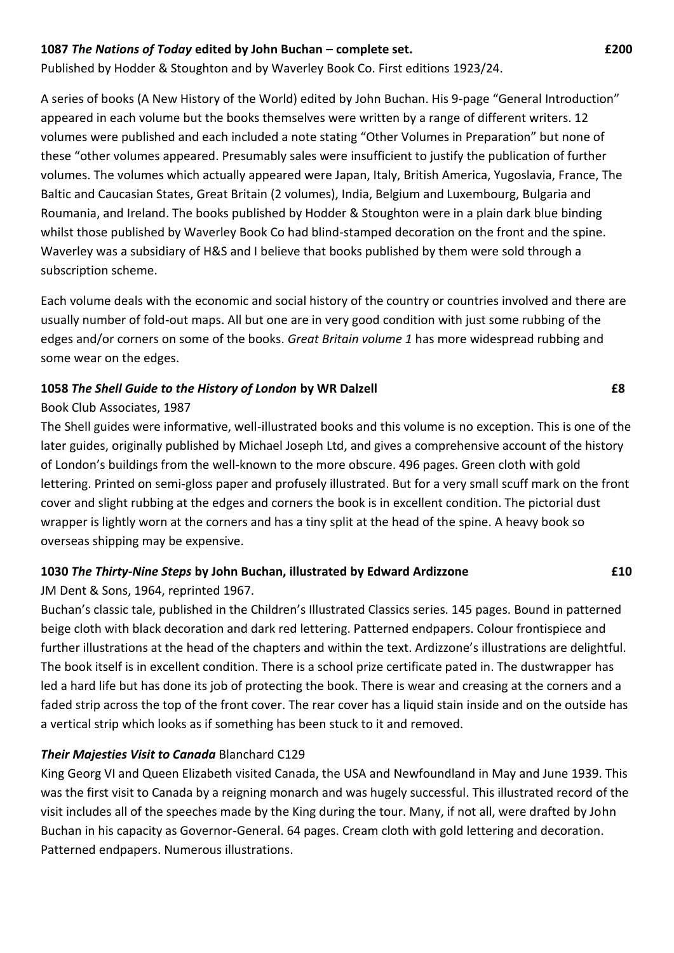### **1087** *The Nations of Today* **edited by John Buchan – complete set. £200**

Published by Hodder & Stoughton and by Waverley Book Co. First editions 1923/24.

A series of books (A New History of the World) edited by John Buchan. His 9-page "General Introduction" appeared in each volume but the books themselves were written by a range of different writers. 12 volumes were published and each included a note stating "Other Volumes in Preparation" but none of these "other volumes appeared. Presumably sales were insufficient to justify the publication of further volumes. The volumes which actually appeared were Japan, Italy, British America, Yugoslavia, France, The Baltic and Caucasian States, Great Britain (2 volumes), India, Belgium and Luxembourg, Bulgaria and Roumania, and Ireland. The books published by Hodder & Stoughton were in a plain dark blue binding whilst those published by Waverley Book Co had blind-stamped decoration on the front and the spine. Waverley was a subsidiary of H&S and I believe that books published by them were sold through a subscription scheme.

Each volume deals with the economic and social history of the country or countries involved and there are usually number of fold-out maps. All but one are in very good condition with just some rubbing of the edges and/or corners on some of the books. *Great Britain volume 1* has more widespread rubbing and some wear on the edges.

#### **1058** *The Shell Guide to the History of London* **by WR Dalzell £8**

#### Book Club Associates, 1987

The Shell guides were informative, well-illustrated books and this volume is no exception. This is one of the later guides, originally published by Michael Joseph Ltd, and gives a comprehensive account of the history of London's buildings from the well-known to the more obscure. 496 pages. Green cloth with gold lettering. Printed on semi-gloss paper and profusely illustrated. But for a very small scuff mark on the front cover and slight rubbing at the edges and corners the book is in excellent condition. The pictorial dust wrapper is lightly worn at the corners and has a tiny split at the head of the spine. A heavy book so overseas shipping may be expensive.

#### **1030** *The Thirty-Nine Steps* **by John Buchan, illustrated by Edward Ardizzone £10**

JM Dent & Sons, 1964, reprinted 1967.

Buchan's classic tale, published in the Children's Illustrated Classics series. 145 pages. Bound in patterned beige cloth with black decoration and dark red lettering. Patterned endpapers. Colour frontispiece and further illustrations at the head of the chapters and within the text. Ardizzone's illustrations are delightful. The book itself is in excellent condition. There is a school prize certificate pated in. The dustwrapper has led a hard life but has done its job of protecting the book. There is wear and creasing at the corners and a faded strip across the top of the front cover. The rear cover has a liquid stain inside and on the outside has a vertical strip which looks as if something has been stuck to it and removed.

### *Their Majesties Visit to Canada* Blanchard C129

King Georg VI and Queen Elizabeth visited Canada, the USA and Newfoundland in May and June 1939. This was the first visit to Canada by a reigning monarch and was hugely successful. This illustrated record of the visit includes all of the speeches made by the King during the tour. Many, if not all, were drafted by John Buchan in his capacity as Governor-General. 64 pages. Cream cloth with gold lettering and decoration. Patterned endpapers. Numerous illustrations.